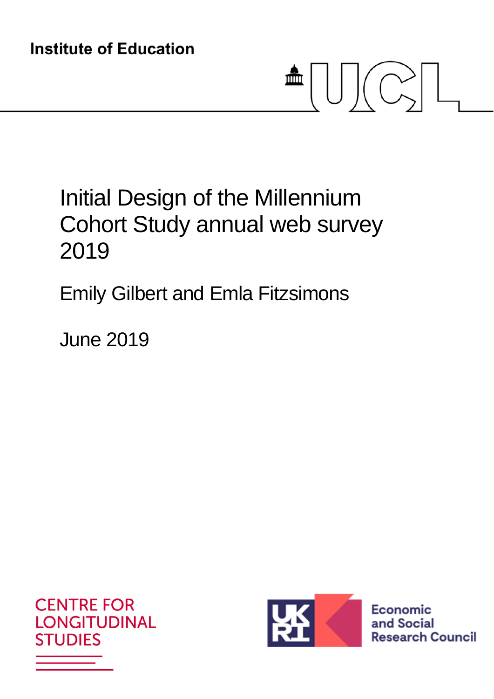# $\blacksquare \bigcup \bigcup \big(\bigcirc_{\sim}\big)\big|$

# Initial Design of the Millennium Cohort Study annual web survey 2019

## Emily Gilbert and Emla Fitzsimons

June 2019





**Economic** and Social **Research Council**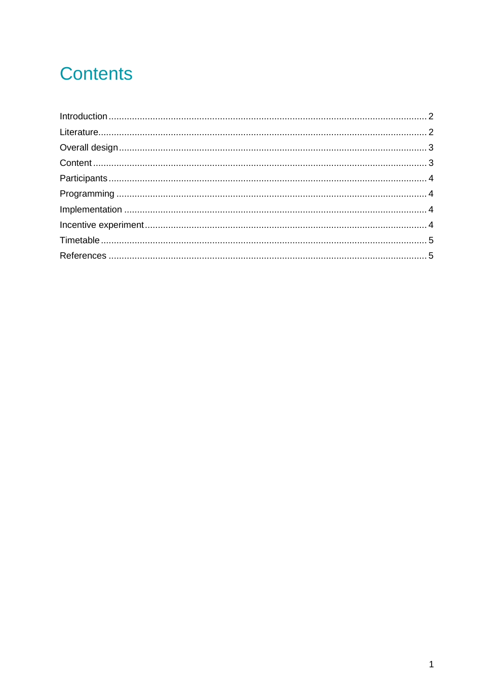## **Contents**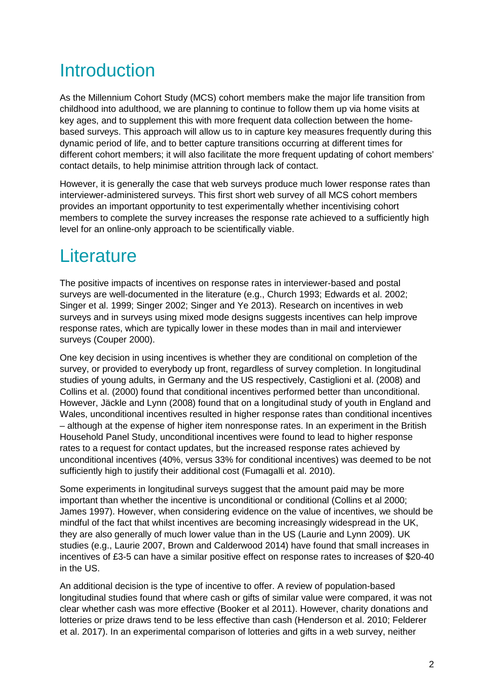## Introduction

As the Millennium Cohort Study (MCS) cohort members make the major life transition from childhood into adulthood, we are planning to continue to follow them up via home visits at key ages, and to supplement this with more frequent data collection between the homebased surveys. This approach will allow us to in capture key measures frequently during this dynamic period of life, and to better capture transitions occurring at different times for different cohort members; it will also facilitate the more frequent updating of cohort members' contact details, to help minimise attrition through lack of contact.

However, it is generally the case that web surveys produce much lower response rates than interviewer-administered surveys. This first short web survey of all MCS cohort members provides an important opportunity to test experimentally whether incentivising cohort members to complete the survey increases the response rate achieved to a sufficiently high level for an online-only approach to be scientifically viable.

## **Literature**

The positive impacts of incentives on response rates in interviewer-based and postal surveys are well-documented in the literature (e.g., Church 1993; Edwards et al. 2002; Singer et al. 1999; Singer 2002; Singer and Ye 2013). Research on incentives in web surveys and in surveys using mixed mode designs suggests incentives can help improve response rates, which are typically lower in these modes than in mail and interviewer surveys (Couper 2000).

One key decision in using incentives is whether they are conditional on completion of the survey, or provided to everybody up front, regardless of survey completion. In longitudinal studies of young adults, in Germany and the US respectively, Castiglioni et al. (2008) and Collins et al. (2000) found that conditional incentives performed better than unconditional. However, Jäckle and Lynn (2008) found that on a longitudinal study of youth in England and Wales, unconditional incentives resulted in higher response rates than conditional incentives – although at the expense of higher item nonresponse rates. In an experiment in the British Household Panel Study, unconditional incentives were found to lead to higher response rates to a request for contact updates, but the increased response rates achieved by unconditional incentives (40%, versus 33% for conditional incentives) was deemed to be not sufficiently high to justify their additional cost (Fumagalli et al. 2010).

Some experiments in longitudinal surveys suggest that the amount paid may be more important than whether the incentive is unconditional or conditional (Collins et al 2000; James 1997). However, when considering evidence on the value of incentives, we should be mindful of the fact that whilst incentives are becoming increasingly widespread in the UK, they are also generally of much lower value than in the US (Laurie and Lynn 2009). UK studies (e.g., Laurie 2007, Brown and Calderwood 2014) have found that small increases in incentives of £3-5 can have a similar positive effect on response rates to increases of \$20-40 in the US.

An additional decision is the type of incentive to offer. A review of population-based longitudinal studies found that where cash or gifts of similar value were compared, it was not clear whether cash was more effective (Booker et al 2011). However, charity donations and lotteries or prize draws tend to be less effective than cash (Henderson et al. 2010; Felderer et al. 2017). In an experimental comparison of lotteries and gifts in a web survey, neither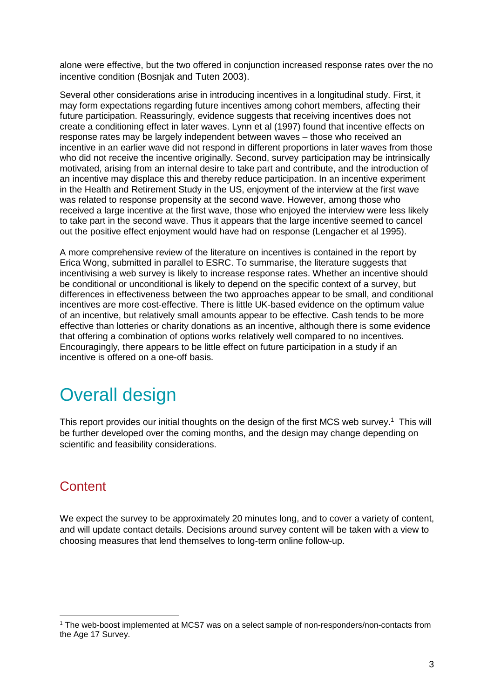alone were effective, but the two offered in conjunction increased response rates over the no incentive condition (Bosnjak and Tuten 2003).

Several other considerations arise in introducing incentives in a longitudinal study. First, it may form expectations regarding future incentives among cohort members, affecting their future participation. Reassuringly, evidence suggests that receiving incentives does not create a conditioning effect in later waves. Lynn et al (1997) found that incentive effects on response rates may be largely independent between waves – those who received an incentive in an earlier wave did not respond in different proportions in later waves from those who did not receive the incentive originally. Second, survey participation may be intrinsically motivated, arising from an internal desire to take part and contribute, and the introduction of an incentive may displace this and thereby reduce participation. In an incentive experiment in the Health and Retirement Study in the US, enjoyment of the interview at the first wave was related to response propensity at the second wave. However, among those who received a large incentive at the first wave, those who enjoyed the interview were less likely to take part in the second wave. Thus it appears that the large incentive seemed to cancel out the positive effect enjoyment would have had on response (Lengacher et al 1995).

A more comprehensive review of the literature on incentives is contained in the report by Erica Wong, submitted in parallel to ESRC. To summarise, the literature suggests that incentivising a web survey is likely to increase response rates. Whether an incentive should be conditional or unconditional is likely to depend on the specific context of a survey, but differences in effectiveness between the two approaches appear to be small, and conditional incentives are more cost-effective. There is little UK-based evidence on the optimum value of an incentive, but relatively small amounts appear to be effective. Cash tends to be more effective than lotteries or charity donations as an incentive, although there is some evidence that offering a combination of options works relatively well compared to no incentives. Encouragingly, there appears to be little effect on future participation in a study if an incentive is offered on a one-off basis.

## Overall design

This report provides our initial thoughts on the design of the first MCS web survey.<sup>1</sup> This will be further developed over the coming months, and the design may change depending on scientific and feasibility considerations.

#### **Content**

We expect the survey to be approximately 20 minutes long, and to cover a variety of content, and will update contact details. Decisions around survey content will be taken with a view to choosing measures that lend themselves to long-term online follow-up.

<sup>1</sup> The web-boost implemented at MCS7 was on a select sample of non-responders/non-contacts from the Age 17 Survey.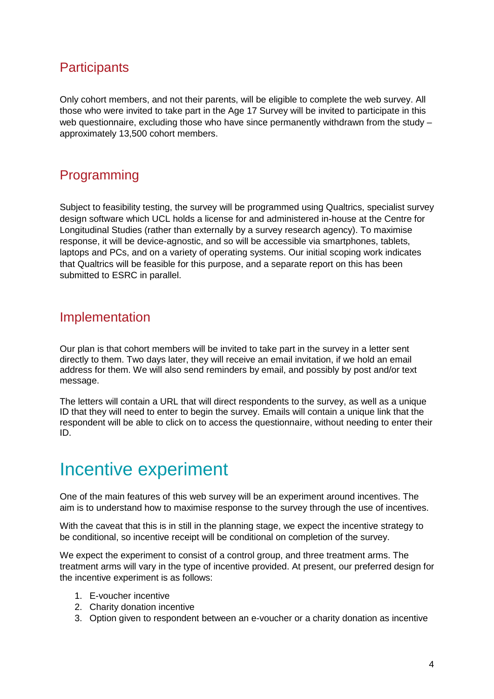#### **Participants**

Only cohort members, and not their parents, will be eligible to complete the web survey. All those who were invited to take part in the Age 17 Survey will be invited to participate in this web questionnaire, excluding those who have since permanently withdrawn from the study – approximately 13,500 cohort members.

#### Programming

Subject to feasibility testing, the survey will be programmed using Qualtrics, specialist survey design software which UCL holds a license for and administered in-house at the Centre for Longitudinal Studies (rather than externally by a survey research agency). To maximise response, it will be device-agnostic, and so will be accessible via smartphones, tablets, laptops and PCs, and on a variety of operating systems. Our initial scoping work indicates that Qualtrics will be feasible for this purpose, and a separate report on this has been submitted to ESRC in parallel.

#### Implementation

Our plan is that cohort members will be invited to take part in the survey in a letter sent directly to them. Two days later, they will receive an email invitation, if we hold an email address for them. We will also send reminders by email, and possibly by post and/or text message.

The letters will contain a URL that will direct respondents to the survey, as well as a unique ID that they will need to enter to begin the survey. Emails will contain a unique link that the respondent will be able to click on to access the questionnaire, without needing to enter their ID.

## Incentive experiment

One of the main features of this web survey will be an experiment around incentives. The aim is to understand how to maximise response to the survey through the use of incentives.

With the caveat that this is in still in the planning stage, we expect the incentive strategy to be conditional, so incentive receipt will be conditional on completion of the survey.

We expect the experiment to consist of a control group, and three treatment arms. The treatment arms will vary in the type of incentive provided. At present, our preferred design for the incentive experiment is as follows:

- 1. E-voucher incentive
- 2. Charity donation incentive
- 3. Option given to respondent between an e-voucher or a charity donation as incentive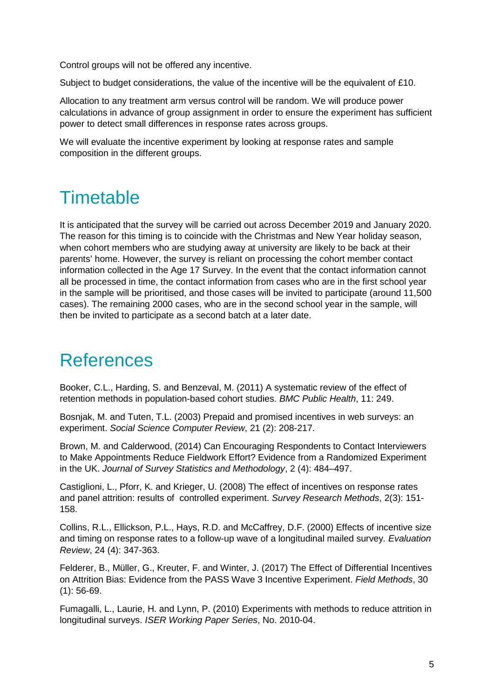Control groups will not be offered any incentive.

Subject to budget considerations, the value of the incentive will be the equivalent of £10.

Allocation to any treatment arm versus control will be random. We will produce power calculations in advance of group assignment in order to ensure the experiment has sufficient power to detect small differences in response rates across groups.

We will evaluate the incentive experiment by looking at response rates and sample composition in the different groups.

## **Timetable**

It is anticipated that the survey will be carried out across December 2019 and January 2020. The reason for this timing is to coincide with the Christmas and New Year holiday season, when cohort members who are studying away at university are likely to be back at their parents' home. However, the survey is reliant on processing the cohort member contact information collected in the Age 17 Survey. In the event that the contact information cannot all be processed in time, the contact information from cases who are in the first school year in the sample will be prioritised, and those cases will be invited to participate (around 11,500 cases). The remaining 2000 cases, who are in the second school year in the sample, will then be invited to participate as a second batch at a later date.

## References

Booker, C.L., Harding, S. and Benzeval, M. (2011) A systematic review of the effect of retention methods in population-based cohort studies. *BMC Public Health*, 11: 249.

Bosnjak, M. and Tuten, T.L. (2003) Prepaid and promised incentives in web surveys: an experiment. *Social Science Computer Review*, 21 (2): 208-217.

Brown, M. and Calderwood, (2014) Can Encouraging Respondents to Contact Interviewers to Make Appointments Reduce Fieldwork Effort? Evidence from a Randomized Experiment in the UK. *Journal of Survey Statistics and Methodology*, 2 (4): 484–497.

Castiglioni, L., Pforr, K. and Krieger, U. (2008) The effect of incentives on response rates and panel attrition: results of controlled experiment. *Survey Research Methods*, 2(3): 151- 158.

Collins, R.L., Ellickson, P.L., Hays, R.D. and McCaffrey, D.F. (2000) Effects of incentive size and timing on response rates to a follow-up wave of a longitudinal mailed survey*. Evaluation Review*, 24 (4): 347-363.

Felderer, B., Müller, G., Kreuter, F. and Winter, J. (2017) The Effect of Differential Incentives on Attrition Bias: Evidence from the PASS Wave 3 Incentive Experiment. *Field Methods*, 30 (1): 56-69.

Fumagalli, L., Laurie, H. and Lynn, P. (2010) Experiments with methods to reduce attrition in longitudinal surveys. *ISER Working Paper Series*, No. 2010-04.